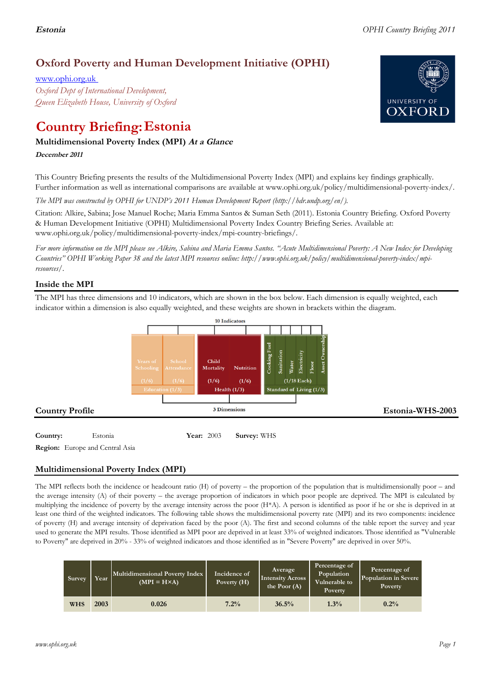## **Oxford Poverty and Human Development Initiative (OPHI)**

www.ophi.org.uk *Oxford Dept of International Development, Queen Elizabeth House, University of Oxford*

# **Country Briefing: Estonia**

#### **Multidimensional Poverty Index (MPI) At <sup>a</sup> Glance**

**December <sup>2011</sup>**

This Country Briefing presents the results of the Multidimensional Poverty Index (MPI) and explains key findings graphically. Further information as well as international comparisons are available at www.ophi.org.uk/policy/multidimensional-poverty-index/.

*The MPI was constructed by OPHI for UNDP's 2011 Human Development Report (http://hdr.undp.org/en/).*

Citation: Alkire, Sabina; Jose Manuel Roche; Maria Emma Santos & Suman Seth (2011). Estonia Country Briefing. Oxford Poverty & Human Development Initiative (OPHI) Multidimensional Poverty Index Country Briefing Series. Available at: www.ophi.org.uk/policy/multidimensional-poverty-index/mpi-country-briefings/.

*For more information on the MPI please see Alkire, Sabina and Maria Emma Santos. "Acute Multidimensional Poverty: A New Index for Developing Countries" OPHI Working Paper 38 and the latest MPI resources online: http://www.ophi.org.uk/policy/multidimensional-poverty-index/mpiresources/.*

#### **Inside the MPI**

The MPI has three dimensions and 10 indicators, which are shown in the box below. Each dimension is equally weighted, each indicator within a dimension is also equally weighted, and these weights are shown in brackets within the diagram.



**Country:** 31 Estonia 31 **Year:** 2003 **Survey:** WHS **Region:** Europe and Central Asia

### **Multidimensional Poverty Index (MPI)**

The MPI reflects both the incidence or headcount ratio (H) of poverty – the proportion of the population that is multidimensionally poor – and the average intensity (A) of their poverty – the average proportion of indicators in which poor people are deprived. The MPI is calculated by multiplying the incidence of poverty by the average intensity across the poor (H\*A). A person is identified as poor if he or she is deprived in at least one third of the weighted indicators. The following table shows the multidimensional poverty rate (MPI) and its two components: incidence of poverty (H) and average intensity of deprivation faced by the poor (A). The first and second columns of the table report the survey and year used to generate the MPI results. Those identified as MPI poor are deprived in at least 33% of weighted indicators. Those identified as "Vulnerable to Poverty" are deprived in 20% - 33% of weighted indicators and those identified as in "Severe Poverty" are deprived in over 50%.

| Survey | Year | Multidimensional Poverty Index<br>$(MPI = H \times A)$ | Incidence of<br>Poverty (H) | Average<br><b>Intensity Across</b><br>the Poor $(A)$ | Percentage of<br>Population<br>Vulnerable to<br>Poverty | Percentage of<br>Population in Severe<br>Poverty |
|--------|------|--------------------------------------------------------|-----------------------------|------------------------------------------------------|---------------------------------------------------------|--------------------------------------------------|
| WHS    | 2003 | 0.026                                                  | 7.2%                        | 36.5%                                                | 1.3%                                                    | 0.2%                                             |

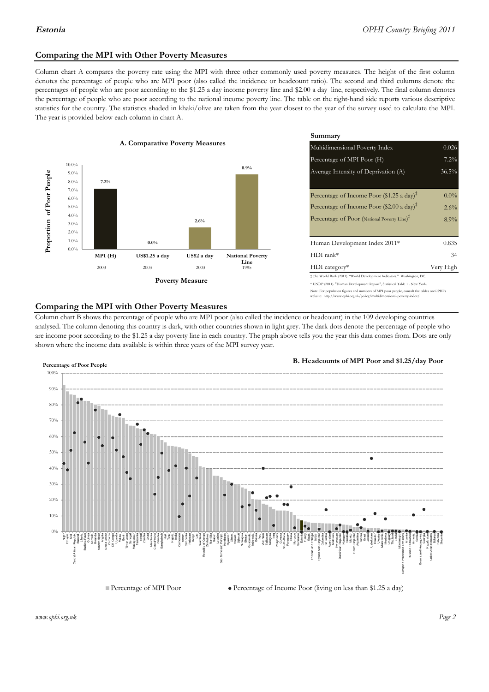#### **Comparing the MPI with Other Poverty Measures**

Column chart A compares the poverty rate using the MPI with three other commonly used poverty measures. The height of the first column denotes the percentage of people who are MPI poor (also called the incidence or headcount ratio). The second and third columns denote the percentages of people who are poor according to the \$1.25 a day income poverty line and \$2.00 a day line, respectively. The final column denotes the percentage of people who are poor according to the national income poverty line. The table on the right-hand side reports various descriptive statistics for the country. The statistics shaded in khaki/olive are taken from the year closest to the year of the survey used to calculate the MPI. The year is provided below each column in chart A.



|                 |                         | Summary                                                                                                                                                    |           |  |  |
|-----------------|-------------------------|------------------------------------------------------------------------------------------------------------------------------------------------------------|-----------|--|--|
| erty Measures   |                         | Multidimensional Poverty Index<br>0.026                                                                                                                    |           |  |  |
|                 |                         | Percentage of MPI Poor (H)                                                                                                                                 | 7.2%      |  |  |
|                 | 8.9%                    | Average Intensity of Deprivation (A)                                                                                                                       | 36.5%     |  |  |
|                 |                         | Percentage of Income Poor (\$1.25 a day) <sup><math>\ddagger</math></sup>                                                                                  | $0.0\%$   |  |  |
|                 |                         | Percentage of Income Poor (\$2.00 a day) <sup><math>\bar{x}</math></sup>                                                                                   | $2.6\%$   |  |  |
| 2.6%            |                         | Percentage of Poor (National Poverty Line) <sup>#</sup>                                                                                                    | 8.9%      |  |  |
|                 |                         | Human Development Index 2011*                                                                                                                              | 0.835     |  |  |
| US\$2 a day     | <b>National Poverty</b> | $HDI$ rank*                                                                                                                                                | 34        |  |  |
| 2003            | Line<br>1995            | $HDI category*$                                                                                                                                            | Very High |  |  |
| <b>⁄Ieasure</b> |                         | $\pm$ The World Bank (2011). "World Development Indicators." Washington, DC.<br>* UNDP (2011). "Human Development Report", Statistical Table 1 . New York. |           |  |  |

te: For population figures and numbers of MPI poor people, consult the tables on OPHI's te: http://www.ophi.org.uk/policy/multidimensional-poverty-index/

#### **Comparing the MPI with Other Poverty Measures**

Column chart B shows the percentage of people who are MPI poor (also called the incidence or headcount) in the 109 developing countries analysed. The column denoting this country is dark, with other countries shown in light grey. The dark dots denote the percentage of people who are income poor according to the \$1.25 a day poverty line in each country. The graph above tells you the year this data comes from. Dots are only shown where the income data available is within three years of the MPI survey year.



**B. Headcounts of MPI Poor and \$1.25/day Poor**

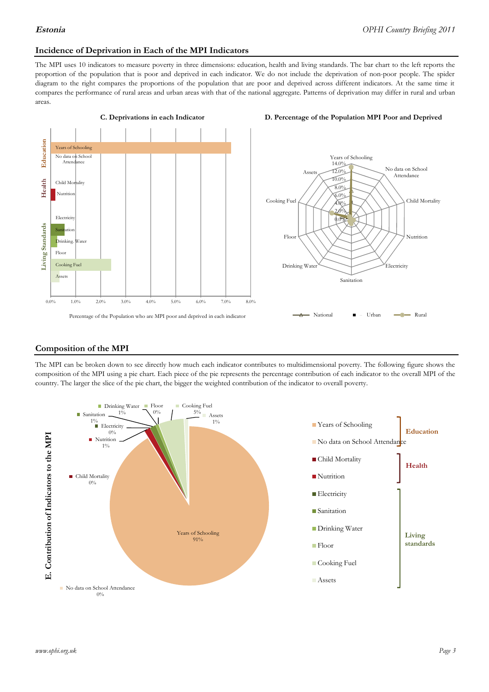#### **Incidence of Deprivation in Each of the MPI Indicators**

The MPI uses 10 indicators to measure poverty in three dimensions: education, health and living standards. The bar chart to the left reports the proportion of the population that is poor and deprived in each indicator. We do not include the deprivation of non-poor people. The spider diagram to the right compares the proportions of the population that are poor and deprived across different indicators. At the same time it compares the performance of rural areas and urban areas with that of the national aggregate. Patterns of deprivation may differ in rural and urban areas.







#### **Composition of the MPI**

The MPI can be broken down to see directly how much each indicator contributes to multidimensional poverty. The following figure shows the composition of the MPI using a pie chart. Each piece of the pie represents the percentage contribution of each indicator to the overall MPI of the country. The larger the slice of the pie chart, the bigger the weighted contribution of the indicator to overall poverty.